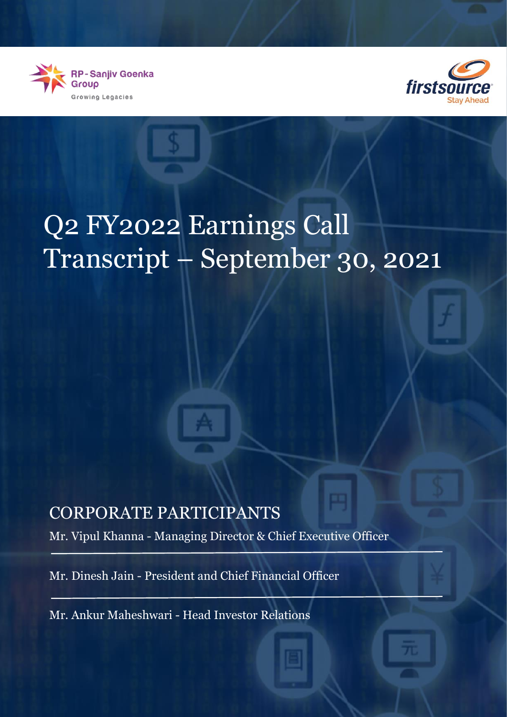



## Q2 FY2022 Earnings Call Transcript – September 30, 2021

## CORPORATE PARTICIPANTS

Mr. Vipul Khanna - Managing Director & Chief Executive Officer

Mr. Dinesh Jain - President and Chief Financial Officer

Mr. Ankur Maheshwari - Head Investor Relations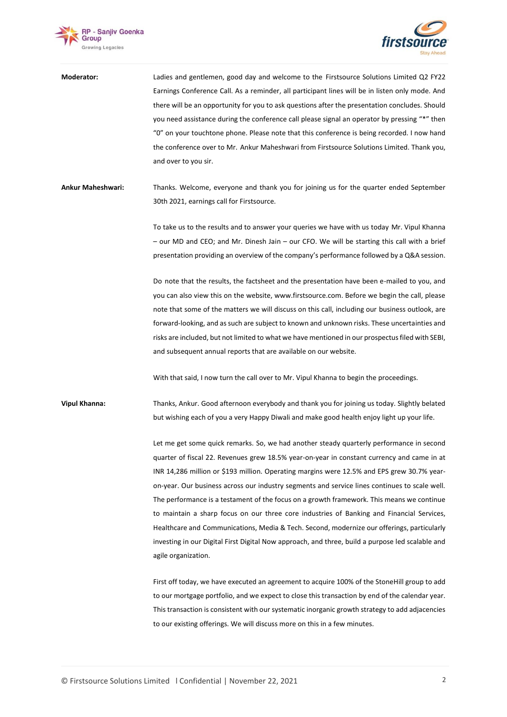



| Moderator:           | Ladies and gentlemen, good day and welcome to the Firstsource Solutions Limited Q2 FY22<br>Earnings Conference Call. As a reminder, all participant lines will be in listen only mode. And<br>there will be an opportunity for you to ask questions after the presentation concludes. Should<br>you need assistance during the conference call please signal an operator by pressing "*" then<br>"0" on your touchtone phone. Please note that this conference is being recorded. I now hand<br>the conference over to Mr. Ankur Maheshwari from Firstsource Solutions Limited. Thank you,<br>and over to you sir.                                                                                                                                                                                       |
|----------------------|----------------------------------------------------------------------------------------------------------------------------------------------------------------------------------------------------------------------------------------------------------------------------------------------------------------------------------------------------------------------------------------------------------------------------------------------------------------------------------------------------------------------------------------------------------------------------------------------------------------------------------------------------------------------------------------------------------------------------------------------------------------------------------------------------------|
| Ankur Maheshwari:    | Thanks. Welcome, everyone and thank you for joining us for the quarter ended September<br>30th 2021, earnings call for Firstsource.                                                                                                                                                                                                                                                                                                                                                                                                                                                                                                                                                                                                                                                                      |
|                      | To take us to the results and to answer your queries we have with us today Mr. Vipul Khanna<br>- our MD and CEO; and Mr. Dinesh Jain - our CFO. We will be starting this call with a brief<br>presentation providing an overview of the company's performance followed by a Q&A session.                                                                                                                                                                                                                                                                                                                                                                                                                                                                                                                 |
|                      | Do note that the results, the factsheet and the presentation have been e-mailed to you, and<br>you can also view this on the website, www.firstsource.com. Before we begin the call, please<br>note that some of the matters we will discuss on this call, including our business outlook, are<br>forward-looking, and as such are subject to known and unknown risks. These uncertainties and<br>risks are included, but not limited to what we have mentioned in our prospectus filed with SEBI,<br>and subsequent annual reports that are available on our website.<br>With that said, I now turn the call over to Mr. Vipul Khanna to begin the proceedings.                                                                                                                                         |
| <b>Vipul Khanna:</b> | Thanks, Ankur. Good afternoon everybody and thank you for joining us today. Slightly belated<br>but wishing each of you a very Happy Diwali and make good health enjoy light up your life.                                                                                                                                                                                                                                                                                                                                                                                                                                                                                                                                                                                                               |
|                      | Let me get some quick remarks. So, we had another steady quarterly performance in second<br>quarter of fiscal 22. Revenues grew 18.5% year-on-year in constant currency and came in at<br>INR 14,286 million or \$193 million. Operating margins were 12.5% and EPS grew 30.7% year-<br>on-year. Our business across our industry segments and service lines continues to scale well.<br>The performance is a testament of the focus on a growth framework. This means we continue<br>to maintain a sharp focus on our three core industries of Banking and Financial Services,<br>Healthcare and Communications, Media & Tech. Second, modernize our offerings, particularly<br>investing in our Digital First Digital Now approach, and three, build a purpose led scalable and<br>agile organization. |
|                      | First off today, we have executed an agreement to acquire 100% of the StoneHill group to add<br>to our mortgage portfolio, and we expect to close this transaction by end of the calendar year.<br>This transaction is consistent with our systematic inorganic growth strategy to add adjacencies                                                                                                                                                                                                                                                                                                                                                                                                                                                                                                       |

to our existing offerings. We will discuss more on this in a few minutes.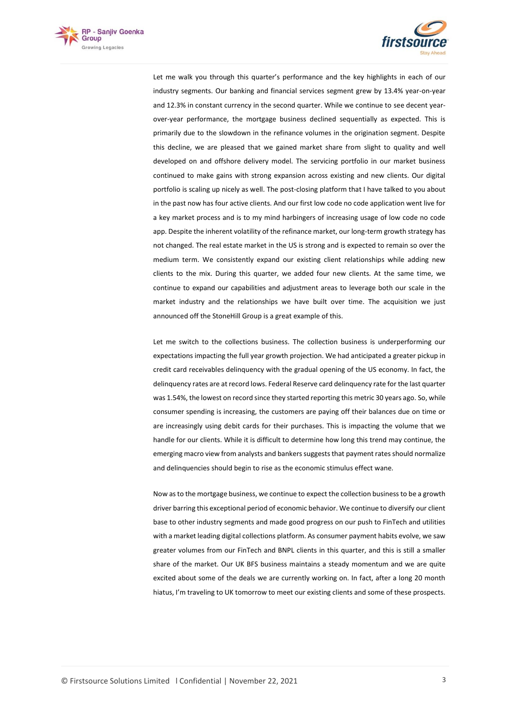



Let me walk you through this quarter's performance and the key highlights in each of our industry segments. Our banking and financial services segment grew by 13.4% year-on-year and 12.3% in constant currency in the second quarter. While we continue to see decent yearover-year performance, the mortgage business declined sequentially as expected. This is primarily due to the slowdown in the refinance volumes in the origination segment. Despite this decline, we are pleased that we gained market share from slight to quality and well developed on and offshore delivery model. The servicing portfolio in our market business continued to make gains with strong expansion across existing and new clients. Our digital portfolio is scaling up nicely as well. The post-closing platform that I have talked to you about in the past now has four active clients. And our first low code no code application went live for a key market process and is to my mind harbingers of increasing usage of low code no code app. Despite the inherent volatility of the refinance market, our long-term growth strategy has not changed. The real estate market in the US is strong and is expected to remain so over the medium term. We consistently expand our existing client relationships while adding new clients to the mix. During this quarter, we added four new clients. At the same time, we continue to expand our capabilities and adjustment areas to leverage both our scale in the market industry and the relationships we have built over time. The acquisition we just announced off the StoneHill Group is a great example of this.

Let me switch to the collections business. The collection business is underperforming our expectations impacting the full year growth projection. We had anticipated a greater pickup in credit card receivables delinquency with the gradual opening of the US economy. In fact, the delinquency rates are at record lows. Federal Reserve card delinquency rate for the last quarter was 1.54%, the lowest on record since they started reporting this metric 30 years ago. So, while consumer spending is increasing, the customers are paying off their balances due on time or are increasingly using debit cards for their purchases. This is impacting the volume that we handle for our clients. While it is difficult to determine how long this trend may continue, the emerging macro view from analysts and bankers suggests that payment rates should normalize and delinquencies should begin to rise as the economic stimulus effect wane.

Now as to the mortgage business, we continue to expect the collection business to be a growth driver barring this exceptional period of economic behavior. We continue to diversify our client base to other industry segments and made good progress on our push to FinTech and utilities with a market leading digital collections platform. As consumer payment habits evolve, we saw greater volumes from our FinTech and BNPL clients in this quarter, and this is still a smaller share of the market. Our UK BFS business maintains a steady momentum and we are quite excited about some of the deals we are currently working on. In fact, after a long 20 month hiatus, I'm traveling to UK tomorrow to meet our existing clients and some of these prospects.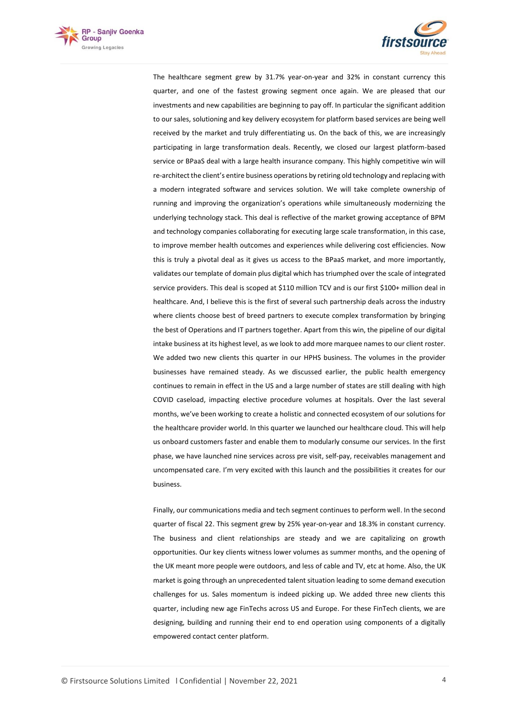



The healthcare segment grew by 31.7% year-on-year and 32% in constant currency this quarter, and one of the fastest growing segment once again. We are pleased that our investments and new capabilities are beginning to pay off. In particular the significant addition to our sales, solutioning and key delivery ecosystem for platform based services are being well received by the market and truly differentiating us. On the back of this, we are increasingly participating in large transformation deals. Recently, we closed our largest platform-based service or BPaaS deal with a large health insurance company. This highly competitive win will re-architect the client's entire business operations by retiring old technology and replacing with a modern integrated software and services solution. We will take complete ownership of running and improving the organization's operations while simultaneously modernizing the underlying technology stack. This deal is reflective of the market growing acceptance of BPM and technology companies collaborating for executing large scale transformation, in this case, to improve member health outcomes and experiences while delivering cost efficiencies. Now this is truly a pivotal deal as it gives us access to the BPaaS market, and more importantly, validates our template of domain plus digital which has triumphed over the scale of integrated service providers. This deal is scoped at \$110 million TCV and is our first \$100+ million deal in healthcare. And, I believe this is the first of several such partnership deals across the industry where clients choose best of breed partners to execute complex transformation by bringing the best of Operations and IT partners together. Apart from this win, the pipeline of our digital intake business at its highest level, as we look to add more marquee names to our client roster. We added two new clients this quarter in our HPHS business. The volumes in the provider businesses have remained steady. As we discussed earlier, the public health emergency continues to remain in effect in the US and a large number of states are still dealing with high COVID caseload, impacting elective procedure volumes at hospitals. Over the last several months, we've been working to create a holistic and connected ecosystem of our solutions for the healthcare provider world. In this quarter we launched our healthcare cloud. This will help us onboard customers faster and enable them to modularly consume our services. In the first phase, we have launched nine services across pre visit, self-pay, receivables management and uncompensated care. I'm very excited with this launch and the possibilities it creates for our business.

Finally, our communications media and tech segment continues to perform well. In the second quarter of fiscal 22. This segment grew by 25% year-on-year and 18.3% in constant currency. The business and client relationships are steady and we are capitalizing on growth opportunities. Our key clients witness lower volumes as summer months, and the opening of the UK meant more people were outdoors, and less of cable and TV, etc at home. Also, the UK market is going through an unprecedented talent situation leading to some demand execution challenges for us. Sales momentum is indeed picking up. We added three new clients this quarter, including new age FinTechs across US and Europe. For these FinTech clients, we are designing, building and running their end to end operation using components of a digitally empowered contact center platform.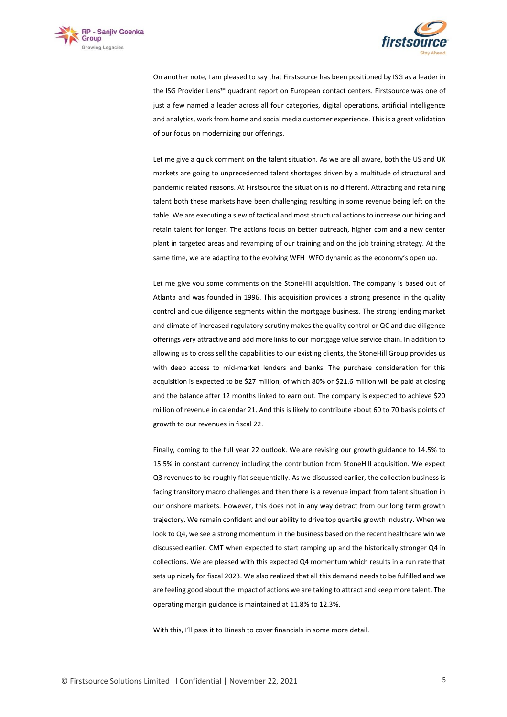



On another note, I am pleased to say that Firstsource has been positioned by ISG as a leader in the ISG Provider Lens™ quadrant report on European contact centers. Firstsource was one of just a few named a leader across all four categories, digital operations, artificial intelligence and analytics, work from home and social media customer experience. This is a great validation of our focus on modernizing our offerings.

Let me give a quick comment on the talent situation. As we are all aware, both the US and UK markets are going to unprecedented talent shortages driven by a multitude of structural and pandemic related reasons. At Firstsource the situation is no different. Attracting and retaining talent both these markets have been challenging resulting in some revenue being left on the table. We are executing a slew of tactical and most structural actions to increase our hiring and retain talent for longer. The actions focus on better outreach, higher com and a new center plant in targeted areas and revamping of our training and on the job training strategy. At the same time, we are adapting to the evolving WFH\_WFO dynamic as the economy's open up.

Let me give you some comments on the StoneHill acquisition. The company is based out of Atlanta and was founded in 1996. This acquisition provides a strong presence in the quality control and due diligence segments within the mortgage business. The strong lending market and climate of increased regulatory scrutiny makes the quality control or QC and due diligence offerings very attractive and add more links to our mortgage value service chain. In addition to allowing us to cross sell the capabilities to our existing clients, the StoneHill Group provides us with deep access to mid-market lenders and banks. The purchase consideration for this acquisition is expected to be \$27 million, of which 80% or \$21.6 million will be paid at closing and the balance after 12 months linked to earn out. The company is expected to achieve \$20 million of revenue in calendar 21. And this is likely to contribute about 60 to 70 basis points of growth to our revenues in fiscal 22.

Finally, coming to the full year 22 outlook. We are revising our growth guidance to 14.5% to 15.5% in constant currency including the contribution from StoneHill acquisition. We expect Q3 revenues to be roughly flat sequentially. As we discussed earlier, the collection business is facing transitory macro challenges and then there is a revenue impact from talent situation in our onshore markets. However, this does not in any way detract from our long term growth trajectory. We remain confident and our ability to drive top quartile growth industry. When we look to Q4, we see a strong momentum in the business based on the recent healthcare win we discussed earlier. CMT when expected to start ramping up and the historically stronger Q4 in collections. We are pleased with this expected Q4 momentum which results in a run rate that sets up nicely for fiscal 2023. We also realized that all this demand needs to be fulfilled and we are feeling good about the impact of actions we are taking to attract and keep more talent. The operating margin guidance is maintained at 11.8% to 12.3%.

With this, I'll pass it to Dinesh to cover financials in some more detail.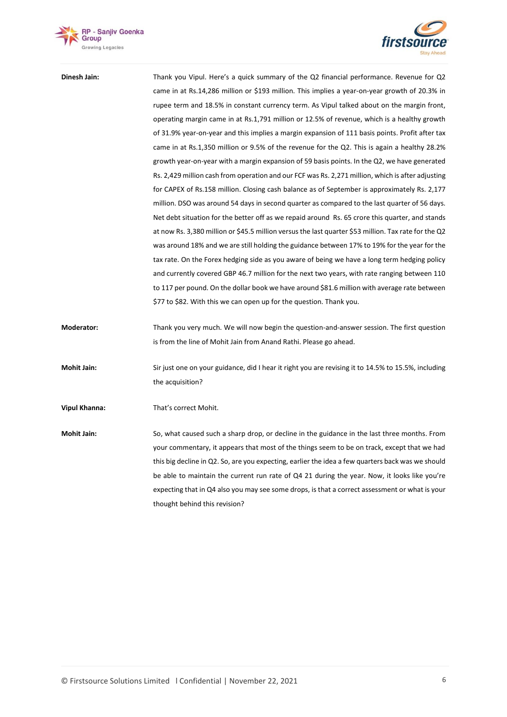



| Dinesh Jain:         | Thank you Vipul. Here's a quick summary of the Q2 financial performance. Revenue for Q2              |
|----------------------|------------------------------------------------------------------------------------------------------|
|                      | came in at Rs.14,286 million or \$193 million. This implies a year-on-year growth of 20.3% in        |
|                      | rupee term and 18.5% in constant currency term. As Vipul talked about on the margin front,           |
|                      | operating margin came in at Rs.1,791 million or 12.5% of revenue, which is a healthy growth          |
|                      | of 31.9% year-on-year and this implies a margin expansion of 111 basis points. Profit after tax      |
|                      | came in at Rs.1,350 million or 9.5% of the revenue for the Q2. This is again a healthy 28.2%         |
|                      | growth year-on-year with a margin expansion of 59 basis points. In the Q2, we have generated         |
|                      | Rs. 2,429 million cash from operation and our FCF was Rs. 2,271 million, which is after adjusting    |
|                      | for CAPEX of Rs.158 million. Closing cash balance as of September is approximately Rs. 2,177         |
|                      | million. DSO was around 54 days in second quarter as compared to the last quarter of 56 days.        |
|                      | Net debt situation for the better off as we repaid around Rs. 65 crore this quarter, and stands      |
|                      | at now Rs. 3,380 million or \$45.5 million versus the last quarter \$53 million. Tax rate for the Q2 |
|                      | was around 18% and we are still holding the guidance between 17% to 19% for the year for the         |
|                      | tax rate. On the Forex hedging side as you aware of being we have a long term hedging policy         |
|                      | and currently covered GBP 46.7 million for the next two years, with rate ranging between 110         |
|                      | to 117 per pound. On the dollar book we have around \$81.6 million with average rate between         |
|                      | \$77 to \$82. With this we can open up for the question. Thank you.                                  |
| <b>Moderator:</b>    | Thank you very much. We will now begin the question-and-answer session. The first question           |
|                      | is from the line of Mohit Jain from Anand Rathi. Please go ahead.                                    |
| Mohit Jain:          | Sir just one on your guidance, did I hear it right you are revising it to 14.5% to 15.5%, including  |
|                      | the acquisition?                                                                                     |
| <b>Vipul Khanna:</b> | That's correct Mohit.                                                                                |
| <b>Mohit Jain:</b>   | So, what caused such a sharp drop, or decline in the guidance in the last three months. From         |
|                      | your commentary, it appears that most of the things seem to be on track, except that we had          |
|                      | this big decline in Q2. So, are you expecting, earlier the idea a few quarters back was we should    |
|                      | be able to maintain the current run rate of Q4 21 during the year. Now, it looks like you're         |
|                      | expecting that in Q4 also you may see some drops, is that a correct assessment or what is your       |
|                      | thought behind this revision?                                                                        |
|                      |                                                                                                      |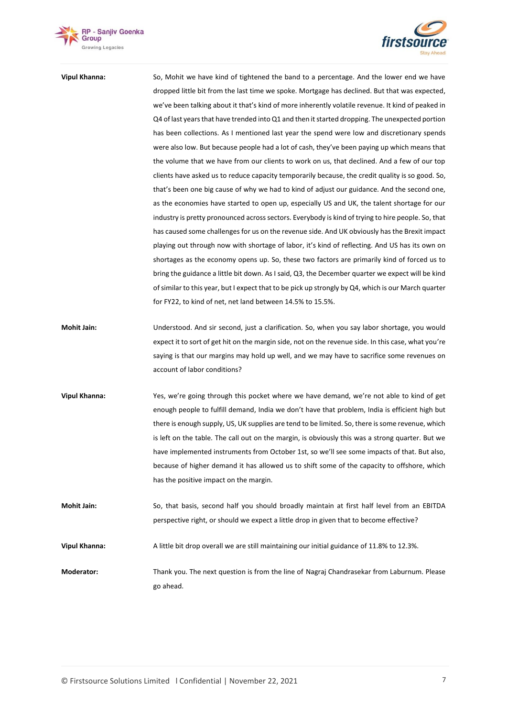



**Vipul Khanna:** So, Mohit we have kind of tightened the band to a percentage. And the lower end we have dropped little bit from the last time we spoke. Mortgage has declined. But that was expected, we've been talking about it that's kind of more inherently volatile revenue. It kind of peaked in Q4 of last years that have trended into Q1 and then it started dropping. The unexpected portion has been collections. As I mentioned last year the spend were low and discretionary spends were also low. But because people had a lot of cash, they've been paying up which means that the volume that we have from our clients to work on us, that declined. And a few of our top clients have asked us to reduce capacity temporarily because, the credit quality is so good. So, that's been one big cause of why we had to kind of adjust our guidance. And the second one, as the economies have started to open up, especially US and UK, the talent shortage for our industry is pretty pronounced across sectors. Everybody is kind of trying to hire people. So, that has caused some challenges for us on the revenue side. And UK obviously has the Brexit impact playing out through now with shortage of labor, it's kind of reflecting. And US has its own on shortages as the economy opens up. So, these two factors are primarily kind of forced us to bring the guidance a little bit down. As I said, Q3, the December quarter we expect will be kind of similar to this year, but I expect that to be pick up strongly by Q4, which is our March quarter for FY22, to kind of net, net land between 14.5% to 15.5%.

- **Mohit Jain:** Understood. And sir second, just a clarification. So, when you say labor shortage, you would expect it to sort of get hit on the margin side, not on the revenue side. In this case, what you're saying is that our margins may hold up well, and we may have to sacrifice some revenues on account of labor conditions?
- **Vipul Khanna:** Yes, we're going through this pocket where we have demand, we're not able to kind of get enough people to fulfill demand, India we don't have that problem, India is efficient high but there is enough supply, US, UK supplies are tend to be limited. So, there is some revenue, which is left on the table. The call out on the margin, is obviously this was a strong quarter. But we have implemented instruments from October 1st, so we'll see some impacts of that. But also, because of higher demand it has allowed us to shift some of the capacity to offshore, which has the positive impact on the margin.
- **Mohit Jain:** So, that basis, second half you should broadly maintain at first half level from an EBITDA perspective right, or should we expect a little drop in given that to become effective?

**Vipul Khanna:** A little bit drop overall we are still maintaining our initial guidance of 11.8% to 12.3%.

**Moderator:** Thank you. The next question is from the line of Nagraj Chandrasekar from Laburnum. Please go ahead.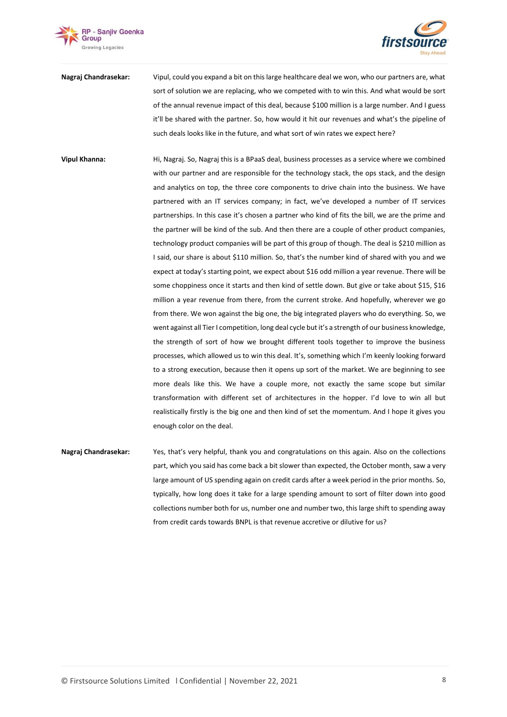



- **Nagraj Chandrasekar:** Vipul, could you expand a bit on this large healthcare deal we won, who our partners are, what sort of solution we are replacing, who we competed with to win this. And what would be sort of the annual revenue impact of this deal, because \$100 million is a large number. And I guess it'll be shared with the partner. So, how would it hit our revenues and what's the pipeline of such deals looks like in the future, and what sort of win rates we expect here?
- **Vipul Khanna:** Hi, Nagraj. So, Nagraj this is a BPaaS deal, business processes as a service where we combined with our partner and are responsible for the technology stack, the ops stack, and the design and analytics on top, the three core components to drive chain into the business. We have partnered with an IT services company; in fact, we've developed a number of IT services partnerships. In this case it's chosen a partner who kind of fits the bill, we are the prime and the partner will be kind of the sub. And then there are a couple of other product companies, technology product companies will be part of this group of though. The deal is \$210 million as I said, our share is about \$110 million. So, that's the number kind of shared with you and we expect at today's starting point, we expect about \$16 odd million a year revenue. There will be some choppiness once it starts and then kind of settle down. But give or take about \$15, \$16 million a year revenue from there, from the current stroke. And hopefully, wherever we go from there. We won against the big one, the big integrated players who do everything. So, we went against all Tier I competition, long deal cycle but it's a strength of our business knowledge, the strength of sort of how we brought different tools together to improve the business processes, which allowed us to win this deal. It's, something which I'm keenly looking forward to a strong execution, because then it opens up sort of the market. We are beginning to see more deals like this. We have a couple more, not exactly the same scope but similar transformation with different set of architectures in the hopper. I'd love to win all but realistically firstly is the big one and then kind of set the momentum. And I hope it gives you enough color on the deal.
- **Nagraj Chandrasekar:** Yes, that's very helpful, thank you and congratulations on this again. Also on the collections part, which you said has come back a bit slower than expected, the October month, saw a very large amount of US spending again on credit cards after a week period in the prior months. So, typically, how long does it take for a large spending amount to sort of filter down into good collections number both for us, number one and number two, this large shift to spending away from credit cards towards BNPL is that revenue accretive or dilutive for us?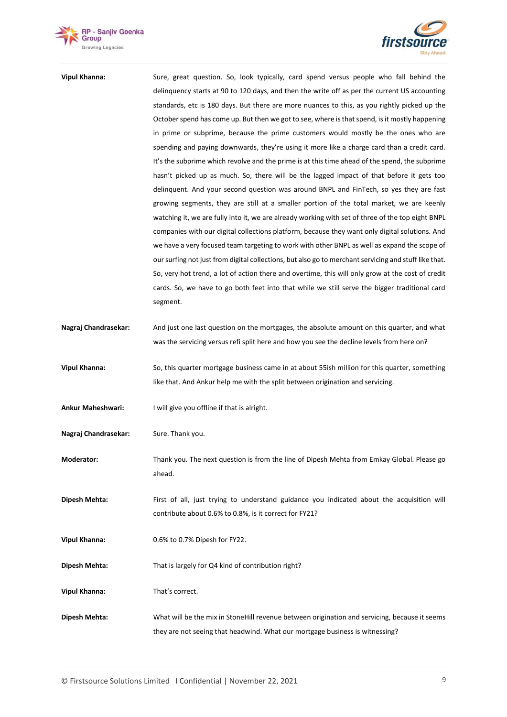



| <b>Vipul Khanna:</b> | Sure, great question. So, look typically, card spend versus people who fall behind the                |
|----------------------|-------------------------------------------------------------------------------------------------------|
|                      | delinguency starts at 90 to 120 days, and then the write off as per the current US accounting         |
|                      | standards, etc is 180 days. But there are more nuances to this, as you rightly picked up the          |
|                      | October spend has come up. But then we got to see, where is that spend, is it mostly happening        |
|                      | in prime or subprime, because the prime customers would mostly be the ones who are                    |
|                      | spending and paying downwards, they're using it more like a charge card than a credit card.           |
|                      | It's the subprime which revolve and the prime is at this time ahead of the spend, the subprime        |
|                      | hasn't picked up as much. So, there will be the lagged impact of that before it gets too              |
|                      |                                                                                                       |
|                      | delinguent. And your second question was around BNPL and FinTech, so yes they are fast                |
|                      | growing segments, they are still at a smaller portion of the total market, we are keenly              |
|                      | watching it, we are fully into it, we are already working with set of three of the top eight BNPL     |
|                      | companies with our digital collections platform, because they want only digital solutions. And        |
|                      | we have a very focused team targeting to work with other BNPL as well as expand the scope of          |
|                      | our surfing not just from digital collections, but also go to merchant servicing and stuff like that. |
|                      | So, very hot trend, a lot of action there and overtime, this will only grow at the cost of credit     |
|                      | cards. So, we have to go both feet into that while we still serve the bigger traditional card         |
|                      | segment.                                                                                              |
|                      |                                                                                                       |
| Nagraj Chandrasekar: | And just one last question on the mortgages, the absolute amount on this quarter, and what            |
|                      | was the servicing versus refi split here and how you see the decline levels from here on?             |
|                      |                                                                                                       |
| <b>Vipul Khanna:</b> | So, this quarter mortgage business came in at about 55ish million for this quarter, something         |
|                      | like that. And Ankur help me with the split between origination and servicing.                        |
|                      |                                                                                                       |
| Ankur Maheshwari:    | I will give you offline if that is alright.                                                           |
|                      |                                                                                                       |
| Nagraj Chandrasekar: | Sure. Thank you.                                                                                      |
|                      |                                                                                                       |
| Moderator:           | Thank you. The next question is from the line of Dipesh Mehta from Emkay Global. Please go            |
|                      | ahead.                                                                                                |
|                      |                                                                                                       |
| Dipesh Mehta:        | First of all, just trying to understand guidance you indicated about the acquisition will             |
|                      | contribute about 0.6% to 0.8%, is it correct for FY21?                                                |
|                      |                                                                                                       |
| <b>Vipul Khanna:</b> | 0.6% to 0.7% Dipesh for FY22.                                                                         |
|                      |                                                                                                       |
| Dipesh Mehta:        | That is largely for Q4 kind of contribution right?                                                    |
|                      |                                                                                                       |
| <b>Vipul Khanna:</b> | That's correct.                                                                                       |
|                      |                                                                                                       |
| Dipesh Mehta:        | What will be the mix in StoneHill revenue between origination and servicing, because it seems         |
|                      | they are not seeing that headwind. What our mortgage business is witnessing?                          |
|                      |                                                                                                       |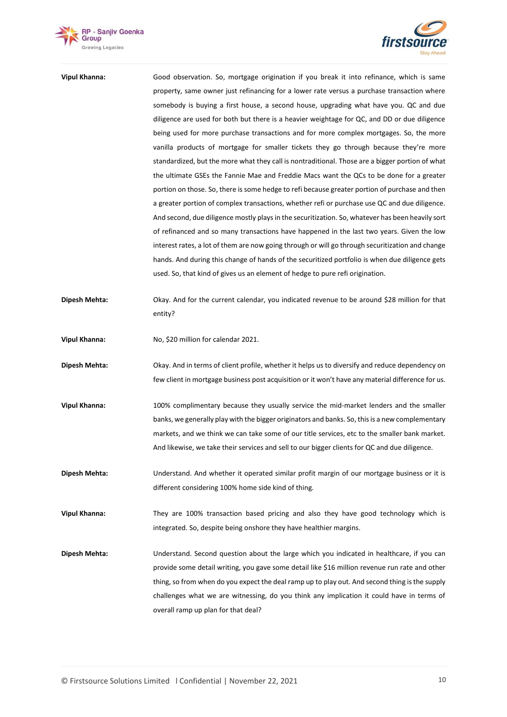



| Vipul Khanna: | Good observation. So, mortgage origination if you break it into refinance, which is same          |
|---------------|---------------------------------------------------------------------------------------------------|
|               | property, same owner just refinancing for a lower rate versus a purchase transaction where        |
|               | somebody is buying a first house, a second house, upgrading what have you. QC and due             |
|               | diligence are used for both but there is a heavier weightage for QC, and DD or due diligence      |
|               | being used for more purchase transactions and for more complex mortgages. So, the more            |
|               | vanilla products of mortgage for smaller tickets they go through because they're more             |
|               | standardized, but the more what they call is nontraditional. Those are a bigger portion of what   |
|               | the ultimate GSEs the Fannie Mae and Freddie Macs want the QCs to be done for a greater           |
|               | portion on those. So, there is some hedge to refi because greater portion of purchase and then    |
|               | a greater portion of complex transactions, whether refi or purchase use QC and due diligence.     |
|               | And second, due diligence mostly plays in the securitization. So, whatever has been heavily sort  |
|               | of refinanced and so many transactions have happened in the last two years. Given the low         |
|               | interest rates, a lot of them are now going through or will go through securitization and change  |
|               | hands. And during this change of hands of the securitized portfolio is when due diligence gets    |
|               | used. So, that kind of gives us an element of hedge to pure refi origination.                     |
| Dipesh Mehta: | Okay. And for the current calendar, you indicated revenue to be around \$28 million for that      |
|               | entity?                                                                                           |
| Vipul Khanna: | No, \$20 million for calendar 2021.                                                               |
| Dipesh Mehta: | Okay. And in terms of client profile, whether it helps us to diversify and reduce dependency on   |
|               | few client in mortgage business post acquisition or it won't have any material difference for us. |
| Vipul Khanna: | 100% complimentary because they usually service the mid-market lenders and the smaller            |
|               | banks, we generally play with the bigger originators and banks. So, this is a new complementary   |
|               | markets, and we think we can take some of our title services, etc to the smaller bank market.     |
|               | And likewise, we take their services and sell to our bigger clients for QC and due diligence.     |
| Dipesh Mehta: | Understand. And whether it operated similar profit margin of our mortgage business or it is       |
|               | different considering 100% home side kind of thing.                                               |
| Vipul Khanna: | They are 100% transaction based pricing and also they have good technology which is               |
|               | integrated. So, despite being onshore they have healthier margins.                                |
| Dipesh Mehta: | Understand. Second question about the large which you indicated in healthcare, if you can         |
|               | provide some detail writing, you gave some detail like \$16 million revenue run rate and other    |
|               | thing, so from when do you expect the deal ramp up to play out. And second thing is the supply    |
|               | challenges what we are witnessing, do you think any implication it could have in terms of         |
|               | overall ramp up plan for that deal?                                                               |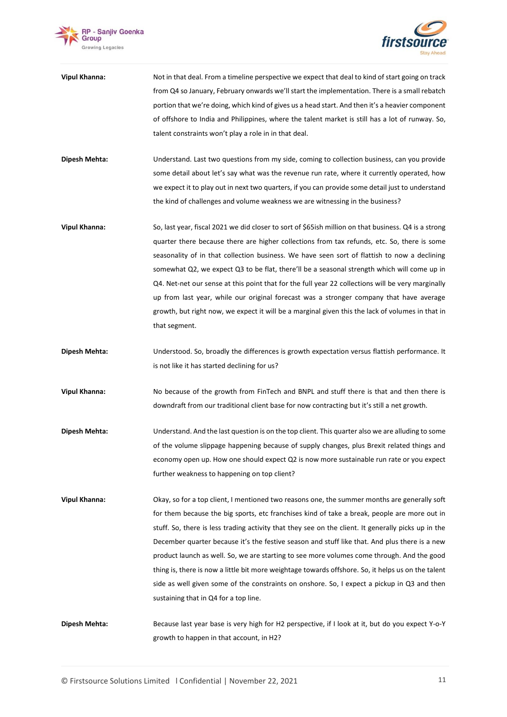



- **Vipul Khanna:** Not in that deal. From a timeline perspective we expect that deal to kind of start going on track from Q4 so January, February onwards we'll start the implementation. There is a small rebatch portion that we're doing, which kind of gives us a head start. And then it's a heavier component of offshore to India and Philippines, where the talent market is still has a lot of runway. So, talent constraints won't play a role in in that deal.
- **Dipesh Mehta:** Understand. Last two questions from my side, coming to collection business, can you provide some detail about let's say what was the revenue run rate, where it currently operated, how we expect it to play out in next two quarters, if you can provide some detail just to understand the kind of challenges and volume weakness we are witnessing in the business?
- **Vipul Khanna:** So, last year, fiscal 2021 we did closer to sort of \$65ish million on that business. Q4 is a strong quarter there because there are higher collections from tax refunds, etc. So, there is some seasonality of in that collection business. We have seen sort of flattish to now a declining somewhat Q2, we expect Q3 to be flat, there'll be a seasonal strength which will come up in Q4. Net-net our sense at this point that for the full year 22 collections will be very marginally up from last year, while our original forecast was a stronger company that have average growth, but right now, we expect it will be a marginal given this the lack of volumes in that in that segment.
- **Dipesh Mehta:** Understood. So, broadly the differences is growth expectation versus flattish performance. It is not like it has started declining for us?
- **Vipul Khanna:** No because of the growth from FinTech and BNPL and stuff there is that and then there is downdraft from our traditional client base for now contracting but it's still a net growth.
- **Dipesh Mehta:** Understand. And the last question is on the top client. This quarter also we are alluding to some of the volume slippage happening because of supply changes, plus Brexit related things and economy open up. How one should expect Q2 is now more sustainable run rate or you expect further weakness to happening on top client?
- **Vipul Khanna:** Okay, so for a top client, I mentioned two reasons one, the summer months are generally soft for them because the big sports, etc franchises kind of take a break, people are more out in stuff. So, there is less trading activity that they see on the client. It generally picks up in the December quarter because it's the festive season and stuff like that. And plus there is a new product launch as well. So, we are starting to see more volumes come through. And the good thing is, there is now a little bit more weightage towards offshore. So, it helps us on the talent side as well given some of the constraints on onshore. So, I expect a pickup in Q3 and then sustaining that in Q4 for a top line.

**Dipesh Mehta:** Because last year base is very high for H2 perspective, if I look at it, but do you expect Y-o-Y growth to happen in that account, in H2?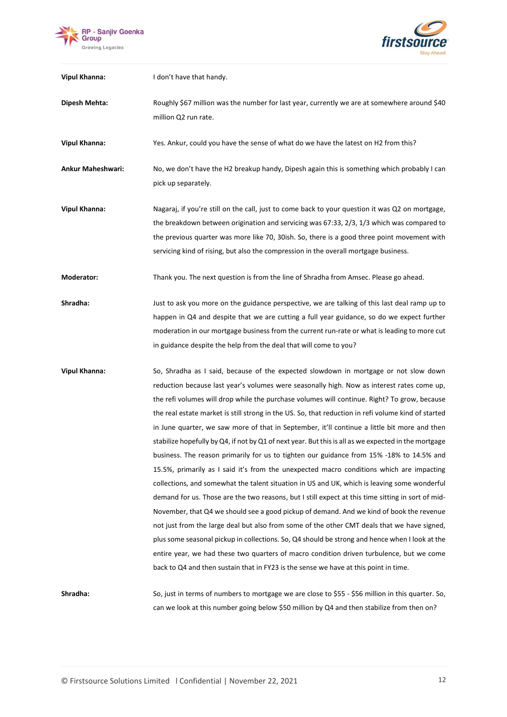



| <b>Vipul Khanna:</b>     | I don't have that handy.                                                                                                                                                                                                                                                                                                                                                                                                                                                                                                                                                                                                                                                                                                                                                                                                                                                                                                                                                                                                                                                                                                                                                                                                                                                                                                                                                                                                                                                        |
|--------------------------|---------------------------------------------------------------------------------------------------------------------------------------------------------------------------------------------------------------------------------------------------------------------------------------------------------------------------------------------------------------------------------------------------------------------------------------------------------------------------------------------------------------------------------------------------------------------------------------------------------------------------------------------------------------------------------------------------------------------------------------------------------------------------------------------------------------------------------------------------------------------------------------------------------------------------------------------------------------------------------------------------------------------------------------------------------------------------------------------------------------------------------------------------------------------------------------------------------------------------------------------------------------------------------------------------------------------------------------------------------------------------------------------------------------------------------------------------------------------------------|
| Dipesh Mehta:            | Roughly \$67 million was the number for last year, currently we are at somewhere around \$40<br>million Q2 run rate.                                                                                                                                                                                                                                                                                                                                                                                                                                                                                                                                                                                                                                                                                                                                                                                                                                                                                                                                                                                                                                                                                                                                                                                                                                                                                                                                                            |
| <b>Vipul Khanna:</b>     | Yes. Ankur, could you have the sense of what do we have the latest on H2 from this?                                                                                                                                                                                                                                                                                                                                                                                                                                                                                                                                                                                                                                                                                                                                                                                                                                                                                                                                                                                                                                                                                                                                                                                                                                                                                                                                                                                             |
| <b>Ankur Maheshwari:</b> | No, we don't have the H2 breakup handy, Dipesh again this is something which probably I can<br>pick up separately.                                                                                                                                                                                                                                                                                                                                                                                                                                                                                                                                                                                                                                                                                                                                                                                                                                                                                                                                                                                                                                                                                                                                                                                                                                                                                                                                                              |
| <b>Vipul Khanna:</b>     | Nagaraj, if you're still on the call, just to come back to your question it was Q2 on mortgage,<br>the breakdown between origination and servicing was 67:33, 2/3, 1/3 which was compared to<br>the previous quarter was more like 70, 30ish. So, there is a good three point movement with<br>servicing kind of rising, but also the compression in the overall mortgage business.                                                                                                                                                                                                                                                                                                                                                                                                                                                                                                                                                                                                                                                                                                                                                                                                                                                                                                                                                                                                                                                                                             |
| <b>Moderator:</b>        | Thank you. The next question is from the line of Shradha from Amsec. Please go ahead.                                                                                                                                                                                                                                                                                                                                                                                                                                                                                                                                                                                                                                                                                                                                                                                                                                                                                                                                                                                                                                                                                                                                                                                                                                                                                                                                                                                           |
| Shradha:                 | Just to ask you more on the guidance perspective, we are talking of this last deal ramp up to<br>happen in Q4 and despite that we are cutting a full year guidance, so do we expect further<br>moderation in our mortgage business from the current run-rate or what is leading to more cut<br>in guidance despite the help from the deal that will come to you?                                                                                                                                                                                                                                                                                                                                                                                                                                                                                                                                                                                                                                                                                                                                                                                                                                                                                                                                                                                                                                                                                                                |
| <b>Vipul Khanna:</b>     | So, Shradha as I said, because of the expected slowdown in mortgage or not slow down<br>reduction because last year's volumes were seasonally high. Now as interest rates come up,<br>the refi volumes will drop while the purchase volumes will continue. Right? To grow, because<br>the real estate market is still strong in the US. So, that reduction in refi volume kind of started<br>in June quarter, we saw more of that in September, it'll continue a little bit more and then<br>stabilize hopefully by Q4, if not by Q1 of next year. But this is all as we expected in the mortgage<br>business. The reason primarily for us to tighten our guidance from 15% -18% to 14.5% and<br>15.5%, primarily as I said it's from the unexpected macro conditions which are impacting<br>collections, and somewhat the talent situation in US and UK, which is leaving some wonderful<br>demand for us. Those are the two reasons, but I still expect at this time sitting in sort of mid-<br>November, that Q4 we should see a good pickup of demand. And we kind of book the revenue<br>not just from the large deal but also from some of the other CMT deals that we have signed,<br>plus some seasonal pickup in collections. So, Q4 should be strong and hence when I look at the<br>entire year, we had these two quarters of macro condition driven turbulence, but we come<br>back to Q4 and then sustain that in FY23 is the sense we have at this point in time. |
| Shradha:                 | So, just in terms of numbers to mortgage we are close to \$55 - \$56 million in this quarter. So,                                                                                                                                                                                                                                                                                                                                                                                                                                                                                                                                                                                                                                                                                                                                                                                                                                                                                                                                                                                                                                                                                                                                                                                                                                                                                                                                                                               |

**Shradha:** So, just in terms of numbers to mortgage we are close to \$55 - \$56 million in this quarter. So, can we look at this number going below \$50 million by Q4 and then stabilize from then on?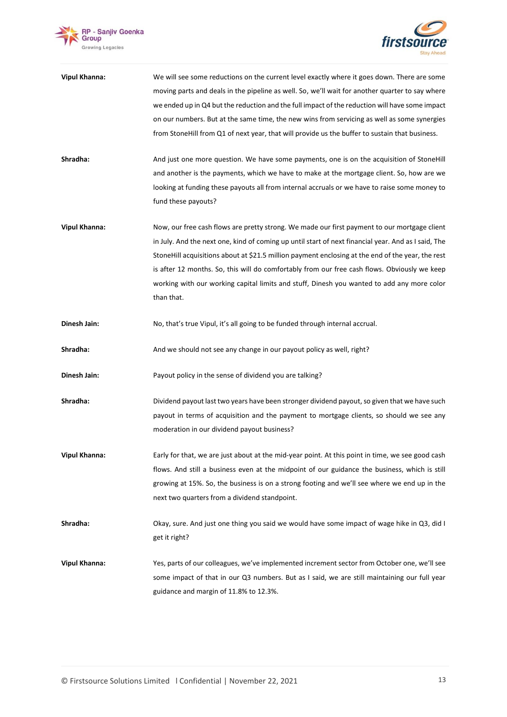



| <b>Vipul Khanna:</b> | We will see some reductions on the current level exactly where it goes down. There are some         |
|----------------------|-----------------------------------------------------------------------------------------------------|
|                      | moving parts and deals in the pipeline as well. So, we'll wait for another quarter to say where     |
|                      | we ended up in Q4 but the reduction and the full impact of the reduction will have some impact      |
|                      | on our numbers. But at the same time, the new wins from servicing as well as some synergies         |
|                      | from StoneHill from Q1 of next year, that will provide us the buffer to sustain that business.      |
| Shradha:             | And just one more question. We have some payments, one is on the acquisition of StoneHill           |
|                      | and another is the payments, which we have to make at the mortgage client. So, how are we           |
|                      | looking at funding these payouts all from internal accruals or we have to raise some money to       |
|                      | fund these payouts?                                                                                 |
| <b>Vipul Khanna:</b> | Now, our free cash flows are pretty strong. We made our first payment to our mortgage client        |
|                      | in July. And the next one, kind of coming up until start of next financial year. And as I said, The |
|                      | StoneHill acquisitions about at \$21.5 million payment enclosing at the end of the year, the rest   |
|                      | is after 12 months. So, this will do comfortably from our free cash flows. Obviously we keep        |
|                      | working with our working capital limits and stuff, Dinesh you wanted to add any more color          |
|                      | than that.                                                                                          |
| Dinesh Jain:         | No, that's true Vipul, it's all going to be funded through internal accrual.                        |
| Shradha:             | And we should not see any change in our payout policy as well, right?                               |
| Dinesh Jain:         | Payout policy in the sense of dividend you are talking?                                             |
| Shradha:             | Dividend payout last two years have been stronger dividend payout, so given that we have such       |
|                      | payout in terms of acquisition and the payment to mortgage clients, so should we see any            |
|                      | moderation in our dividend payout business?                                                         |
| <b>Vipul Khanna:</b> | Early for that, we are just about at the mid-year point. At this point in time, we see good cash    |
|                      | flows. And still a business even at the midpoint of our guidance the business, which is still       |
|                      | growing at 15%. So, the business is on a strong footing and we'll see where we end up in the        |
|                      | next two quarters from a dividend standpoint.                                                       |
| Shradha:             | Okay, sure. And just one thing you said we would have some impact of wage hike in Q3, did I         |
|                      | get it right?                                                                                       |
| <b>Vipul Khanna:</b> | Yes, parts of our colleagues, we've implemented increment sector from October one, we'll see        |
|                      | some impact of that in our Q3 numbers. But as I said, we are still maintaining our full year        |
|                      | guidance and margin of 11.8% to 12.3%.                                                              |
|                      |                                                                                                     |
|                      |                                                                                                     |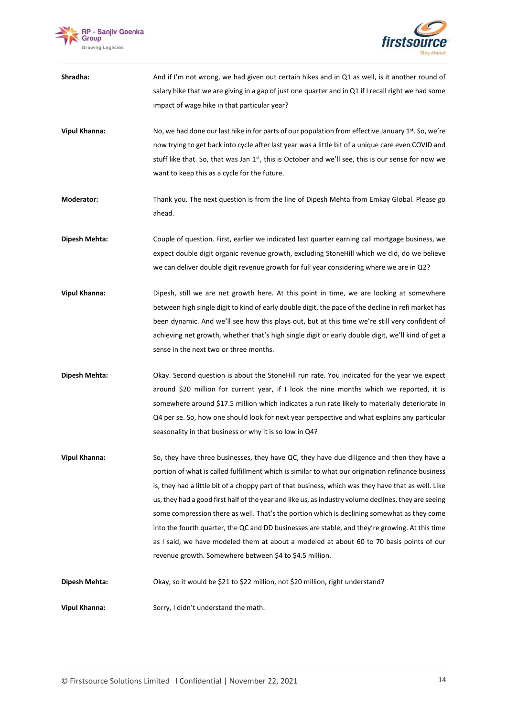



| Shradha:             | And if I'm not wrong, we had given out certain hikes and in Q1 as well, is it another round of<br>salary hike that we are giving in a gap of just one quarter and in Q1 if I recall right we had some<br>impact of wage hike in that particular year?                                                                                                                                                                                                                                                                                                                                                                                                                                                                                                                   |
|----------------------|-------------------------------------------------------------------------------------------------------------------------------------------------------------------------------------------------------------------------------------------------------------------------------------------------------------------------------------------------------------------------------------------------------------------------------------------------------------------------------------------------------------------------------------------------------------------------------------------------------------------------------------------------------------------------------------------------------------------------------------------------------------------------|
| <b>Vipul Khanna:</b> | No, we had done our last hike in for parts of our population from effective January 1st. So, we're<br>now trying to get back into cycle after last year was a little bit of a unique care even COVID and<br>stuff like that. So, that was Jan 1 <sup>st</sup> , this is October and we'll see, this is our sense for now we<br>want to keep this as a cycle for the future.                                                                                                                                                                                                                                                                                                                                                                                             |
| Moderator:           | Thank you. The next question is from the line of Dipesh Mehta from Emkay Global. Please go<br>ahead.                                                                                                                                                                                                                                                                                                                                                                                                                                                                                                                                                                                                                                                                    |
| Dipesh Mehta:        | Couple of question. First, earlier we indicated last quarter earning call mortgage business, we<br>expect double digit organic revenue growth, excluding StoneHill which we did, do we believe<br>we can deliver double digit revenue growth for full year considering where we are in Q2?                                                                                                                                                                                                                                                                                                                                                                                                                                                                              |
| <b>Vipul Khanna:</b> | Dipesh, still we are net growth here. At this point in time, we are looking at somewhere<br>between high single digit to kind of early double digit, the pace of the decline in refi market has<br>been dynamic. And we'll see how this plays out, but at this time we're still very confident of<br>achieving net growth, whether that's high single digit or early double digit, we'll kind of get a<br>sense in the next two or three months.                                                                                                                                                                                                                                                                                                                        |
| Dipesh Mehta:        | Okay. Second question is about the StoneHill run rate. You indicated for the year we expect<br>around \$20 million for current year, if I look the nine months which we reported, it is<br>somewhere around \$17.5 million which indicates a run rate likely to materially deteriorate in<br>Q4 per se. So, how one should look for next year perspective and what explains any particular<br>seasonality in that business or why it is so low in Q4?                                                                                                                                                                                                                                                                                                                   |
| <b>Vipul Khanna:</b> | So, they have three businesses, they have QC, they have due diligence and then they have a<br>portion of what is called fulfillment which is similar to what our origination refinance business<br>is, they had a little bit of a choppy part of that business, which was they have that as well. Like<br>us, they had a good first half of the year and like us, as industry volume declines, they are seeing<br>some compression there as well. That's the portion which is declining somewhat as they come<br>into the fourth quarter, the QC and DD businesses are stable, and they're growing. At this time<br>as I said, we have modeled them at about a modeled at about 60 to 70 basis points of our<br>revenue growth. Somewhere between \$4 to \$4.5 million. |
| Dipesh Mehta:        | Okay, so it would be \$21 to \$22 million, not \$20 million, right understand?                                                                                                                                                                                                                                                                                                                                                                                                                                                                                                                                                                                                                                                                                          |
| <b>Vipul Khanna:</b> | Sorry, I didn't understand the math.                                                                                                                                                                                                                                                                                                                                                                                                                                                                                                                                                                                                                                                                                                                                    |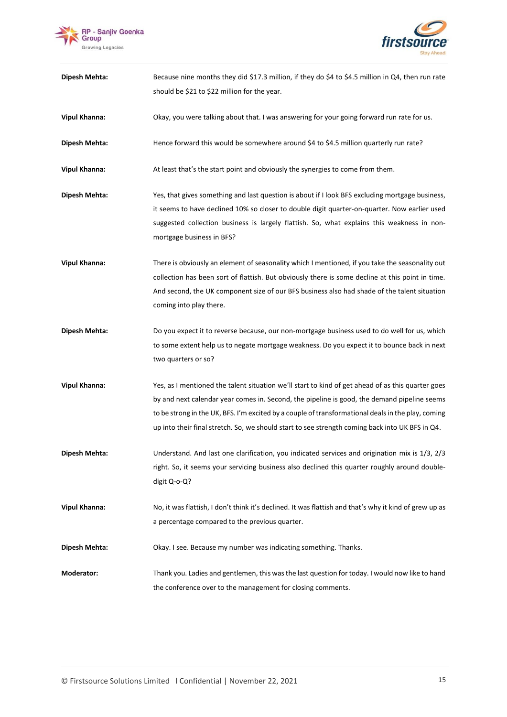



| Dipesh Mehta:        | Because nine months they did \$17.3 million, if they do \$4 to \$4.5 million in Q4, then run rate                                                                                                                                                                                                                                                                                                         |
|----------------------|-----------------------------------------------------------------------------------------------------------------------------------------------------------------------------------------------------------------------------------------------------------------------------------------------------------------------------------------------------------------------------------------------------------|
|                      | should be \$21 to \$22 million for the year.                                                                                                                                                                                                                                                                                                                                                              |
| <b>Vipul Khanna:</b> | Okay, you were talking about that. I was answering for your going forward run rate for us.                                                                                                                                                                                                                                                                                                                |
| Dipesh Mehta:        | Hence forward this would be somewhere around \$4 to \$4.5 million quarterly run rate?                                                                                                                                                                                                                                                                                                                     |
| <b>Vipul Khanna:</b> | At least that's the start point and obviously the synergies to come from them.                                                                                                                                                                                                                                                                                                                            |
| Dipesh Mehta:        | Yes, that gives something and last question is about if I look BFS excluding mortgage business,<br>it seems to have declined 10% so closer to double digit quarter-on-quarter. Now earlier used<br>suggested collection business is largely flattish. So, what explains this weakness in non-<br>mortgage business in BFS?                                                                                |
| <b>Vipul Khanna:</b> | There is obviously an element of seasonality which I mentioned, if you take the seasonality out<br>collection has been sort of flattish. But obviously there is some decline at this point in time.<br>And second, the UK component size of our BFS business also had shade of the talent situation<br>coming into play there.                                                                            |
| Dipesh Mehta:        | Do you expect it to reverse because, our non-mortgage business used to do well for us, which<br>to some extent help us to negate mortgage weakness. Do you expect it to bounce back in next<br>two quarters or so?                                                                                                                                                                                        |
| <b>Vipul Khanna:</b> | Yes, as I mentioned the talent situation we'll start to kind of get ahead of as this quarter goes<br>by and next calendar year comes in. Second, the pipeline is good, the demand pipeline seems<br>to be strong in the UK, BFS. I'm excited by a couple of transformational deals in the play, coming<br>up into their final stretch. So, we should start to see strength coming back into UK BFS in Q4. |
| Dipesh Mehta:        | Understand. And last one clarification, you indicated services and origination mix is 1/3, 2/3<br>right. So, it seems your servicing business also declined this quarter roughly around double-<br>digit Q-o-Q?                                                                                                                                                                                           |
| <b>Vipul Khanna:</b> | No, it was flattish, I don't think it's declined. It was flattish and that's why it kind of grew up as<br>a percentage compared to the previous quarter.                                                                                                                                                                                                                                                  |
| Dipesh Mehta:        | Okay. I see. Because my number was indicating something. Thanks.                                                                                                                                                                                                                                                                                                                                          |
| Moderator:           | Thank you. Ladies and gentlemen, this was the last question for today. I would now like to hand<br>the conference over to the management for closing comments.                                                                                                                                                                                                                                            |